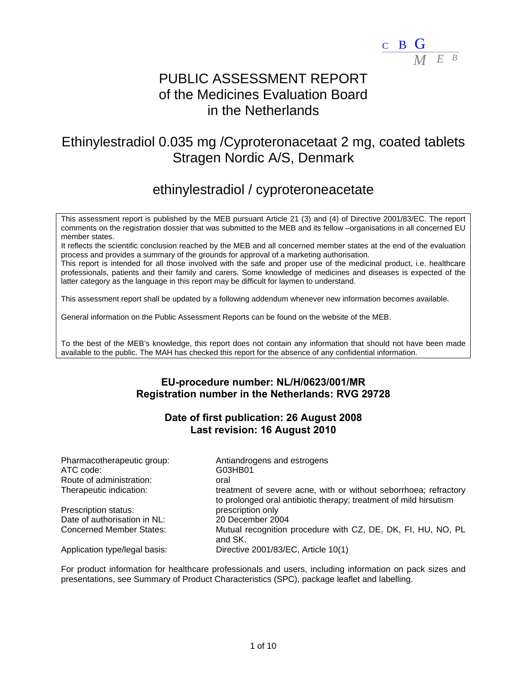

# PUBLIC ASSESSMENT REPORT of the Medicines Evaluation Board in the Netherlands

# Ethinylestradiol 0.035 mg /Cyproteronacetaat 2 mg, coated tablets Stragen Nordic A/S, Denmark

# ethinylestradiol / cyproteroneacetate

This assessment report is published by the MEB pursuant Article 21 (3) and (4) of Directive 2001/83/EC. The report comments on the registration dossier that was submitted to the MEB and its fellow –organisations in all concerned EU member states.

It reflects the scientific conclusion reached by the MEB and all concerned member states at the end of the evaluation process and provides a summary of the grounds for approval of a marketing authorisation.

This report is intended for all those involved with the safe and proper use of the medicinal product, i.e. healthcare professionals, patients and their family and carers. Some knowledge of medicines and diseases is expected of the latter category as the language in this report may be difficult for laymen to understand.

This assessment report shall be updated by a following addendum whenever new information becomes available.

General information on the Public Assessment Reports can be found on the website of the MEB.

To the best of the MEB's knowledge, this report does not contain any information that should not have been made available to the public. The MAH has checked this report for the absence of any confidential information.

# **EU-procedure number: NL/H/0623/001/MR Registration number in the Netherlands: RVG 29728**

## **Date of first publication: 26 August 2008 Last revision: 16 August 2010**

| Pharmacotherapeutic group:      | Antiandrogens and estrogens                                                                                                           |
|---------------------------------|---------------------------------------------------------------------------------------------------------------------------------------|
| ATC code:                       | G03HB01                                                                                                                               |
| Route of administration:        | oral                                                                                                                                  |
| Therapeutic indication:         | treatment of severe acne, with or without seborrhoea; refractory<br>to prolonged oral antibiotic therapy; treatment of mild hirsutism |
| Prescription status:            | prescription only                                                                                                                     |
| Date of authorisation in NL:    | 20 December 2004                                                                                                                      |
| <b>Concerned Member States:</b> | Mutual recognition procedure with CZ, DE, DK, FI, HU, NO, PL<br>and SK.                                                               |
| Application type/legal basis:   | Directive 2001/83/EC, Article 10(1)                                                                                                   |

For product information for healthcare professionals and users, including information on pack sizes and presentations, see Summary of Product Characteristics (SPC), package leaflet and labelling.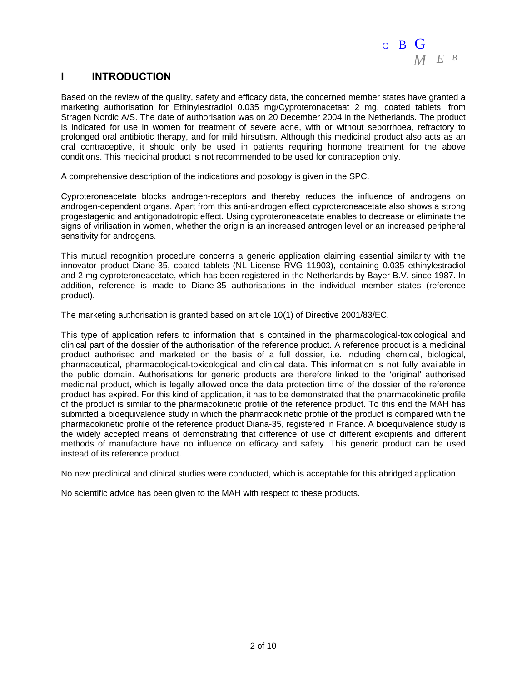

# **I INTRODUCTION**

Based on the review of the quality, safety and efficacy data, the concerned member states have granted a marketing authorisation for Ethinylestradiol 0.035 mg/Cyproteronacetaat 2 mg, coated tablets, from Stragen Nordic A/S. The date of authorisation was on 20 December 2004 in the Netherlands. The product is indicated for use in women for treatment of severe acne, with or without seborrhoea, refractory to prolonged oral antibiotic therapy, and for mild hirsutism. Although this medicinal product also acts as an oral contraceptive, it should only be used in patients requiring hormone treatment for the above conditions. This medicinal product is not recommended to be used for contraception only.

A comprehensive description of the indications and posology is given in the SPC.

Cyproteroneacetate blocks androgen-receptors and thereby reduces the influence of androgens on androgen-dependent organs. Apart from this anti-androgen effect cyproteroneacetate also shows a strong progestagenic and antigonadotropic effect. Using cyproteroneacetate enables to decrease or eliminate the signs of virilisation in women, whether the origin is an increased antrogen level or an increased peripheral sensitivity for androgens.

This mutual recognition procedure concerns a generic application claiming essential similarity with the innovator product Diane-35, coated tablets (NL License RVG 11903), containing 0.035 ethinylestradiol and 2 mg cyproteroneacetate, which has been registered in the Netherlands by Bayer B.V. since 1987. In addition, reference is made to Diane-35 authorisations in the individual member states (reference product).

The marketing authorisation is granted based on article 10(1) of Directive 2001/83/EC.

This type of application refers to information that is contained in the pharmacological-toxicological and clinical part of the dossier of the authorisation of the reference product. A reference product is a medicinal product authorised and marketed on the basis of a full dossier, i.e. including chemical, biological, pharmaceutical, pharmacological-toxicological and clinical data. This information is not fully available in the public domain. Authorisations for generic products are therefore linked to the 'original' authorised medicinal product, which is legally allowed once the data protection time of the dossier of the reference product has expired. For this kind of application, it has to be demonstrated that the pharmacokinetic profile of the product is similar to the pharmacokinetic profile of the reference product. To this end the MAH has submitted a bioequivalence study in which the pharmacokinetic profile of the product is compared with the pharmacokinetic profile of the reference product Diana-35, registered in France. A bioequivalence study is the widely accepted means of demonstrating that difference of use of different excipients and different methods of manufacture have no influence on efficacy and safety. This generic product can be used instead of its reference product.

No new preclinical and clinical studies were conducted, which is acceptable for this abridged application.

No scientific advice has been given to the MAH with respect to these products.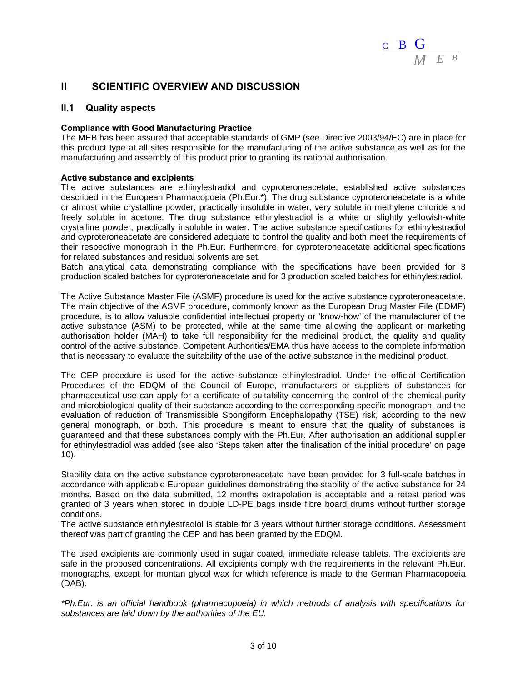

## **II SCIENTIFIC OVERVIEW AND DISCUSSION**

### **II.1 Quality aspects**

### **Compliance with Good Manufacturing Practice**

The MEB has been assured that acceptable standards of GMP (see Directive 2003/94/EC) are in place for this product type at all sites responsible for the manufacturing of the active substance as well as for the manufacturing and assembly of this product prior to granting its national authorisation.

### **Active substance and excipients**

The active substances are ethinylestradiol and cyproteroneacetate, established active substances described in the European Pharmacopoeia (Ph.Eur.\*). The drug substance cyproteroneacetate is a white or almost white crystalline powder, practically insoluble in water, very soluble in methylene chloride and freely soluble in acetone. The drug substance ethinylestradiol is a white or slightly yellowish-white crystalline powder, practically insoluble in water. The active substance specifications for ethinylestradiol and cyproteroneacetate are considered adequate to control the quality and both meet the requirements of their respective monograph in the Ph.Eur. Furthermore, for cyproteroneacetate additional specifications for related substances and residual solvents are set.

Batch analytical data demonstrating compliance with the specifications have been provided for 3 production scaled batches for cyproteroneacetate and for 3 production scaled batches for ethinylestradiol.

The Active Substance Master File (ASMF) procedure is used for the active substance cyproteroneacetate. The main objective of the ASMF procedure, commonly known as the European Drug Master File (EDMF) procedure, is to allow valuable confidential intellectual property or 'know-how' of the manufacturer of the active substance (ASM) to be protected, while at the same time allowing the applicant or marketing authorisation holder (MAH) to take full responsibility for the medicinal product, the quality and quality control of the active substance. Competent Authorities/EMA thus have access to the complete information that is necessary to evaluate the suitability of the use of the active substance in the medicinal product.

The CEP procedure is used for the active substance ethinylestradiol. Under the official Certification Procedures of the EDQM of the Council of Europe, manufacturers or suppliers of substances for pharmaceutical use can apply for a certificate of suitability concerning the control of the chemical purity and microbiological quality of their substance according to the corresponding specific monograph, and the evaluation of reduction of Transmissible Spongiform Encephalopathy (TSE) risk, according to the new general monograph, or both. This procedure is meant to ensure that the quality of substances is guaranteed and that these substances comply with the Ph.Eur. After authorisation an additional supplier for ethinylestradiol was added (see also 'Steps taken after the finalisation of the initial procedure' on page 10).

Stability data on the active substance cyproteroneacetate have been provided for 3 full-scale batches in accordance with applicable European guidelines demonstrating the stability of the active substance for 24 months. Based on the data submitted, 12 months extrapolation is acceptable and a retest period was granted of 3 years when stored in double LD-PE bags inside fibre board drums without further storage conditions.

The active substance ethinylestradiol is stable for 3 years without further storage conditions. Assessment thereof was part of granting the CEP and has been granted by the EDQM.

The used excipients are commonly used in sugar coated, immediate release tablets. The excipients are safe in the proposed concentrations. All excipients comply with the requirements in the relevant Ph.Eur. monographs, except for montan glycol wax for which reference is made to the German Pharmacopoeia (DAB).

*\*Ph.Eur. is an official handbook (pharmacopoeia) in which methods of analysis with specifications for substances are laid down by the authorities of the EU.*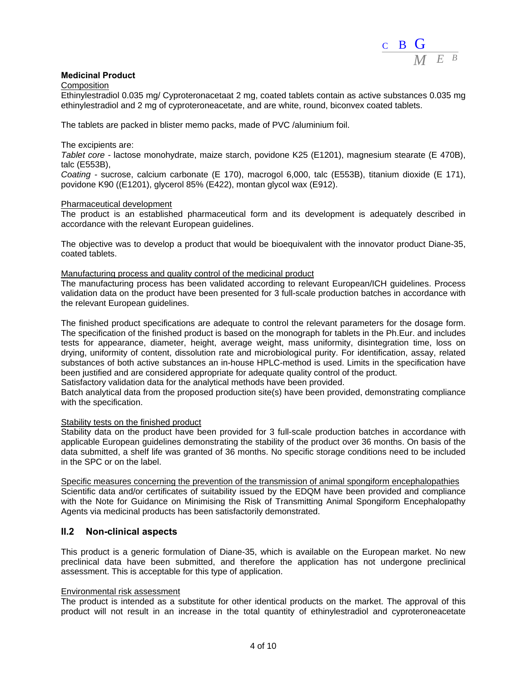

### **Medicinal Product**

**Composition** 

Ethinylestradiol 0.035 mg/ Cyproteronacetaat 2 mg, coated tablets contain as active substances 0.035 mg ethinylestradiol and 2 mg of cyproteroneacetate, and are white, round, biconvex coated tablets.

The tablets are packed in blister memo packs, made of PVC /aluminium foil.

The excipients are:

*Tablet core -* lactose monohydrate, maize starch, povidone K25 (E1201), magnesium stearate (E 470B), talc (E553B),

*Coating -* sucrose, calcium carbonate (E 170), macrogol 6,000, talc (E553B), titanium dioxide (E 171), povidone K90 ((E1201), glycerol 85% (E422), montan glycol wax (E912).

#### Pharmaceutical development

The product is an established pharmaceutical form and its development is adequately described in accordance with the relevant European guidelines.

The objective was to develop a product that would be bioequivalent with the innovator product Diane-35, coated tablets.

#### Manufacturing process and quality control of the medicinal product

The manufacturing process has been validated according to relevant European/ICH guidelines. Process validation data on the product have been presented for 3 full-scale production batches in accordance with the relevant European guidelines.

The finished product specifications are adequate to control the relevant parameters for the dosage form. The specification of the finished product is based on the monograph for tablets in the Ph.Eur. and includes tests for appearance, diameter, height, average weight, mass uniformity, disintegration time, loss on drying, uniformity of content, dissolution rate and microbiological purity. For identification, assay, related substances of both active substances an in-house HPLC-method is used. Limits in the specification have been justified and are considered appropriate for adequate quality control of the product.

Satisfactory validation data for the analytical methods have been provided.

Batch analytical data from the proposed production site(s) have been provided, demonstrating compliance with the specification.

#### Stability tests on the finished product

Stability data on the product have been provided for 3 full-scale production batches in accordance with applicable European guidelines demonstrating the stability of the product over 36 months. On basis of the data submitted, a shelf life was granted of 36 months. No specific storage conditions need to be included in the SPC or on the label.

Specific measures concerning the prevention of the transmission of animal spongiform encephalopathies Scientific data and/or certificates of suitability issued by the EDQM have been provided and compliance with the Note for Guidance on Minimising the Risk of Transmitting Animal Spongiform Encephalopathy Agents via medicinal products has been satisfactorily demonstrated.

### **II.2 Non-clinical aspects**

This product is a generic formulation of Diane-35, which is available on the European market. No new preclinical data have been submitted, and therefore the application has not undergone preclinical assessment. This is acceptable for this type of application.

#### Environmental risk assessment

The product is intended as a substitute for other identical products on the market. The approval of this product will not result in an increase in the total quantity of ethinylestradiol and cyproteroneacetate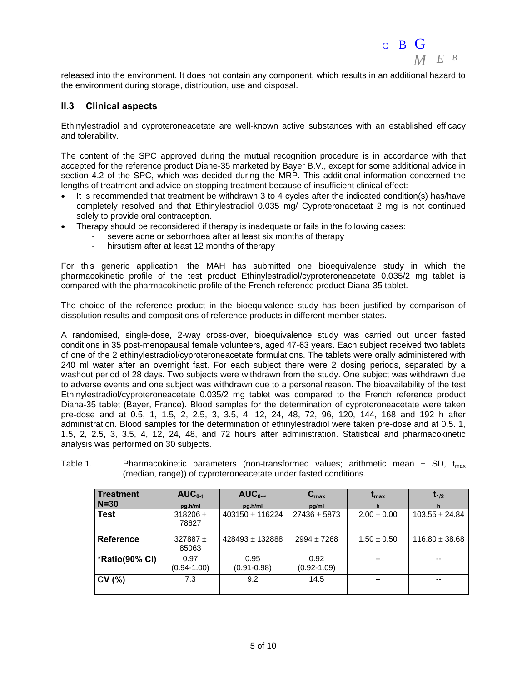

released into the environment. It does not contain any component, which results in an additional hazard to the environment during storage, distribution, use and disposal.

### **II.3 Clinical aspects**

Ethinylestradiol and cyproteroneacetate are well-known active substances with an established efficacy and tolerability.

The content of the SPC approved during the mutual recognition procedure is in accordance with that accepted for the reference product Diane-35 marketed by Bayer B.V., except for some additional advice in section 4.2 of the SPC, which was decided during the MRP. This additional information concerned the lengths of treatment and advice on stopping treatment because of insufficient clinical effect:

- It is recommended that treatment be withdrawn 3 to 4 cycles after the indicated condition(s) has/have completely resolved and that Ethinylestradiol 0.035 mg/ Cyproteronacetaat 2 mg is not continued solely to provide oral contraception.
- Therapy should be reconsidered if therapy is inadequate or fails in the following cases:
	- severe acne or seborrhoea after at least six months of therapy
		- hirsutism after at least 12 months of therapy

For this generic application, the MAH has submitted one bioequivalence study in which the pharmacokinetic profile of the test product Ethinylestradiol/cyproteroneacetate 0.035/2 mg tablet is compared with the pharmacokinetic profile of the French reference product Diana-35 tablet.

The choice of the reference product in the bioequivalence study has been justified by comparison of dissolution results and compositions of reference products in different member states.

A randomised, single-dose, 2-way cross-over, bioequivalence study was carried out under fasted conditions in 35 post-menopausal female volunteers, aged 47-63 years. Each subject received two tablets of one of the 2 ethinylestradiol/cyproteroneacetate formulations. The tablets were orally administered with 240 ml water after an overnight fast. For each subject there were 2 dosing periods, separated by a washout period of 28 days. Two subjects were withdrawn from the study. One subject was withdrawn due to adverse events and one subject was withdrawn due to a personal reason. The bioavailability of the test Ethinylestradiol/cyproteroneacetate 0.035/2 mg tablet was compared to the French reference product Diana-35 tablet (Bayer, France). Blood samples for the determination of cyproteroneacetate were taken pre-dose and at 0.5, 1, 1.5, 2, 2.5, 3, 3.5, 4, 12, 24, 48, 72, 96, 120, 144, 168 and 192 h after administration. Blood samples for the determination of ethinylestradiol were taken pre-dose and at 0.5. 1, 1.5, 2, 2.5, 3, 3.5, 4, 12, 24, 48, and 72 hours after administration. Statistical and pharmacokinetic analysis was performed on 30 subjects.

| Table 1. |  | Pharmacokinetic parameters (non-transformed values; arithmetic mean $\pm$ SD, $t_{max}$ |  |  |  |
|----------|--|-----------------------------------------------------------------------------------------|--|--|--|
|          |  | (median, range)) of cyproteroneacetate under fasted conditions.                         |  |  |  |

| <b>Treatment</b> | $AUC_{0-t}$             | $AUC_{0-\infty}$        | $C_{\text{max}}$        | $\mathbf{t}_{\mathsf{max}}$ | $t_{1/2}$          |
|------------------|-------------------------|-------------------------|-------------------------|-----------------------------|--------------------|
| $N = 30$         | pa.h/ml                 | pg.h/ml                 | pa/ml                   |                             |                    |
| <b>Test</b>      | 318206 $\pm$<br>78627   | $403150 \pm 116224$     | $27436 \pm 5873$        | $2.00 \pm 0.00$             | $103.55 \pm 24.84$ |
| <b>Reference</b> | 327887 $\pm$<br>85063   | $428493 + 132888$       | $2994 \pm 7268$         | $1.50 \pm 0.50$             | $116.80 \pm 38.68$ |
| *Ratio(90% CI)   | 0.97<br>$(0.94 - 1.00)$ | 0.95<br>$(0.91 - 0.98)$ | 0.92<br>$(0.92 - 1.09)$ |                             |                    |
| CV(%)            | 7.3                     | 9.2                     | 14.5                    | $- -$                       | --                 |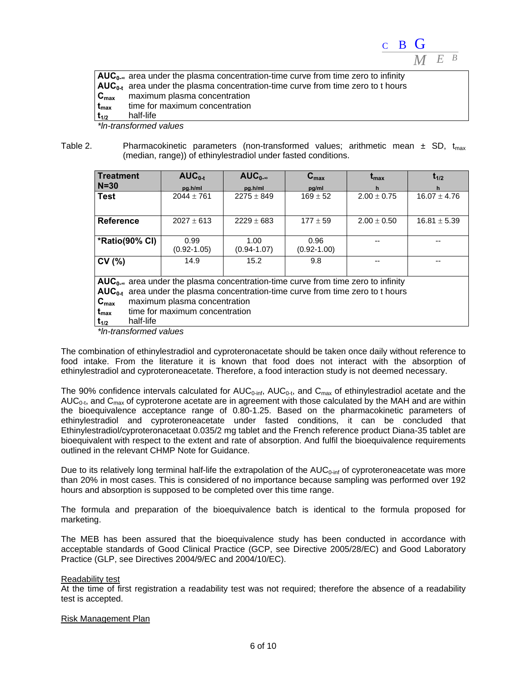

|                  | $AUC_{0.8}$ area under the plasma concentration-time curve from time zero to infinity |
|------------------|---------------------------------------------------------------------------------------|
|                  | $AUC_{0,t}$ area under the plasma concentration-time curve from time zero to t hours  |
| $C_{\text{max}}$ | maximum plasma concentration                                                          |
| $t_{\rm max}$    | time for maximum concentration                                                        |
| $t_{1/2}$        | half-life                                                                             |
|                  |                                                                                       |

*\*ln-transformed values* 

Table 2. Pharmacokinetic parameters (non-transformed values; arithmetic mean  $\pm$  SD,  $t_{\text{max}}$ (median, range)) of ethinylestradiol under fasted conditions.

| l Treatment                                                                          | $AUC_{0-t}$                    | $AUC_{0-\infty}$ | $C_{\text{max}}$ | $t_{\rm max}$   | $t_{1/2}$        |  |  |  |
|--------------------------------------------------------------------------------------|--------------------------------|------------------|------------------|-----------------|------------------|--|--|--|
| $N = 30$                                                                             | pg.h/ml                        | pg.h/ml          | pg/ml            |                 |                  |  |  |  |
| <b>Test</b>                                                                          | $2044 \pm 761$                 | $2275 \pm 849$   | $169 \pm 52$     | $2.00 \pm 0.75$ | $16.07 \pm 4.76$ |  |  |  |
|                                                                                      |                                |                  |                  |                 |                  |  |  |  |
| <b>Reference</b>                                                                     | $2027 \pm 613$                 | $2229 \pm 683$   | $177 \pm 59$     | $2.00 \pm 0.50$ | $16.81 \pm 5.39$ |  |  |  |
|                                                                                      |                                |                  |                  |                 |                  |  |  |  |
| *Ratio(90% CI)                                                                       | 0.99                           | 1.00             | 0.96             |                 |                  |  |  |  |
|                                                                                      | $(0.92 - 1.05)$                | $(0.94 - 1.07)$  | $(0.92 - 1.00)$  |                 |                  |  |  |  |
| CV(%)                                                                                | 14.9                           | 15.2             | 9.8              |                 |                  |  |  |  |
|                                                                                      |                                |                  |                  |                 |                  |  |  |  |
| $AUC_{0}$ area under the plasma concentration-time curve from time zero to infinity  |                                |                  |                  |                 |                  |  |  |  |
| $AUC_{0,t}$ area under the plasma concentration-time curve from time zero to t hours |                                |                  |                  |                 |                  |  |  |  |
| maximum plasma concentration<br>$C_{\text{max}}$                                     |                                |                  |                  |                 |                  |  |  |  |
| $t_{\text{max}}$                                                                     | time for maximum concentration |                  |                  |                 |                  |  |  |  |
| half-life<br>$t_{1/2}$                                                               |                                |                  |                  |                 |                  |  |  |  |
|                                                                                      |                                |                  |                  |                 |                  |  |  |  |

*\*ln-transformed values* 

The combination of ethinylestradiol and cyproteronacetate should be taken once daily without reference to food intake. From the literature it is known that food does not interact with the absorption of ethinylestradiol and cyproteroneacetate. Therefore, a food interaction study is not deemed necessary.

The 90% confidence intervals calculated for  $AUC_{0\text{-inf}}$ ,  $AUC_{0\text{-t}}$ , and  $C_{\text{max}}$  of ethinylestradiol acetate and the AUC<sub>0-t</sub>, and C<sub>max</sub> of cyproterone acetate are in agreement with those calculated by the MAH and are within the bioequivalence acceptance range of 0.80-1.25. Based on the pharmacokinetic parameters of ethinylestradiol and cyproteroneacetate under fasted conditions, it can be concluded that Ethinylestradiol/cyproteronacetaat 0.035/2 mg tablet and the French reference product Diana-35 tablet are bioequivalent with respect to the extent and rate of absorption. And fulfil the bioequivalence requirements outlined in the relevant CHMP Note for Guidance.

Due to its relatively long terminal half-life the extrapolation of the  $AUC_{0\text{-inf}}$  of cyproteroneacetate was more than 20% in most cases. This is considered of no importance because sampling was performed over 192 hours and absorption is supposed to be completed over this time range.

The formula and preparation of the bioequivalence batch is identical to the formula proposed for marketing.

The MEB has been assured that the bioequivalence study has been conducted in accordance with acceptable standards of Good Clinical Practice (GCP, see Directive 2005/28/EC) and Good Laboratory Practice (GLP, see Directives 2004/9/EC and 2004/10/EC).

### Readability test

At the time of first registration a readability test was not required; therefore the absence of a readability test is accepted.

#### Risk Management Plan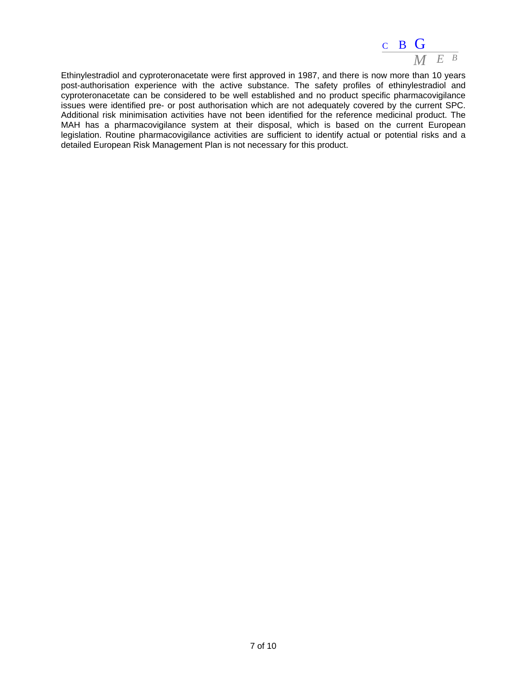

Ethinylestradiol and cyproteronacetate were first approved in 1987, and there is now more than 10 years post-authorisation experience with the active substance. The safety profiles of ethinylestradiol and cyproteronacetate can be considered to be well established and no product specific pharmacovigilance issues were identified pre- or post authorisation which are not adequately covered by the current SPC. Additional risk minimisation activities have not been identified for the reference medicinal product. The MAH has a pharmacovigilance system at their disposal, which is based on the current European legislation. Routine pharmacovigilance activities are sufficient to identify actual or potential risks and a detailed European Risk Management Plan is not necessary for this product.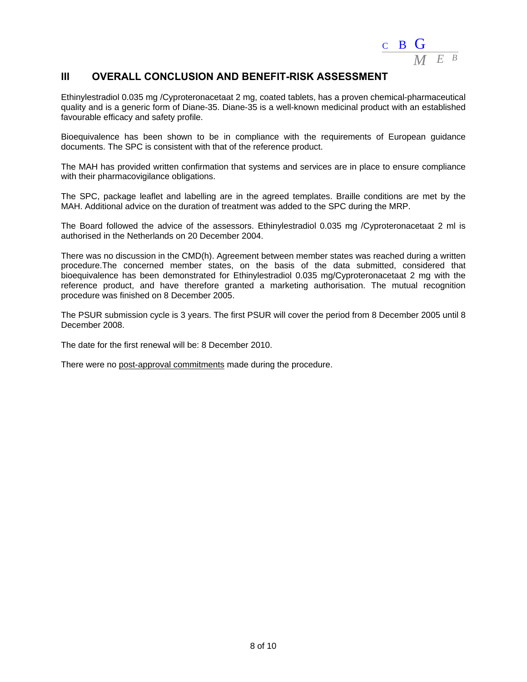

# **III OVERALL CONCLUSION AND BENEFIT-RISK ASSESSMENT**

Ethinylestradiol 0.035 mg /Cyproteronacetaat 2 mg, coated tablets, has a proven chemical-pharmaceutical quality and is a generic form of Diane-35. Diane-35 is a well-known medicinal product with an established favourable efficacy and safety profile.

Bioequivalence has been shown to be in compliance with the requirements of European guidance documents. The SPC is consistent with that of the reference product.

The MAH has provided written confirmation that systems and services are in place to ensure compliance with their pharmacovigilance obligations.

The SPC, package leaflet and labelling are in the agreed templates. Braille conditions are met by the MAH. Additional advice on the duration of treatment was added to the SPC during the MRP.

The Board followed the advice of the assessors. Ethinylestradiol 0.035 mg /Cyproteronacetaat 2 ml is authorised in the Netherlands on 20 December 2004.

There was no discussion in the CMD(h). Agreement between member states was reached during a written procedure.The concerned member states, on the basis of the data submitted, considered that bioequivalence has been demonstrated for Ethinylestradiol 0.035 mg/Cyproteronacetaat 2 mg with the reference product, and have therefore granted a marketing authorisation. The mutual recognition procedure was finished on 8 December 2005.

The PSUR submission cycle is 3 years. The first PSUR will cover the period from 8 December 2005 until 8 December 2008.

The date for the first renewal will be: 8 December 2010.

There were no post-approval commitments made during the procedure.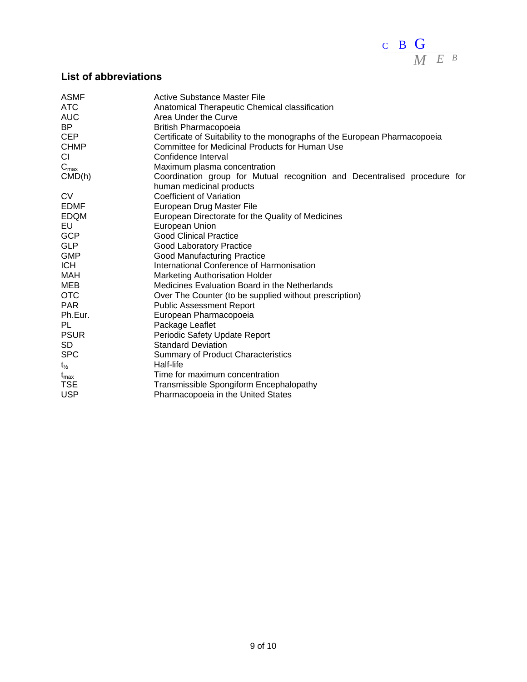

# **List of abbreviations**

| <b>ASMF</b>               | <b>Active Substance Master File</b>                                                                   |
|---------------------------|-------------------------------------------------------------------------------------------------------|
| <b>ATC</b>                | Anatomical Therapeutic Chemical classification                                                        |
| <b>AUC</b>                | Area Under the Curve                                                                                  |
| BP                        | British Pharmacopoeia                                                                                 |
| <b>CEP</b>                | Certificate of Suitability to the monographs of the European Pharmacopoeia                            |
| <b>CHMP</b>               | Committee for Medicinal Products for Human Use                                                        |
| CI                        | Confidence Interval                                                                                   |
| $\mathbf{C}_{\text{max}}$ | Maximum plasma concentration                                                                          |
| CMD(h)                    | Coordination group for Mutual recognition and Decentralised procedure for<br>human medicinal products |
| <b>CV</b>                 | <b>Coefficient of Variation</b>                                                                       |
| <b>EDMF</b>               | European Drug Master File                                                                             |
| <b>EDQM</b>               | European Directorate for the Quality of Medicines                                                     |
| EU                        | European Union                                                                                        |
| <b>GCP</b>                | <b>Good Clinical Practice</b>                                                                         |
| <b>GLP</b>                | <b>Good Laboratory Practice</b>                                                                       |
| <b>GMP</b>                | Good Manufacturing Practice                                                                           |
| <b>ICH</b>                | International Conference of Harmonisation                                                             |
| MAH                       | <b>Marketing Authorisation Holder</b>                                                                 |
| MEB                       | Medicines Evaluation Board in the Netherlands                                                         |
| <b>OTC</b>                | Over The Counter (to be supplied without prescription)                                                |
| <b>PAR</b>                | <b>Public Assessment Report</b>                                                                       |
| Ph.Eur.                   | European Pharmacopoeia                                                                                |
| <b>PL</b>                 | Package Leaflet                                                                                       |
| <b>PSUR</b>               | Periodic Safety Update Report                                                                         |
| <b>SD</b>                 | <b>Standard Deviation</b>                                                                             |
| <b>SPC</b>                | <b>Summary of Product Characteristics</b>                                                             |
| $t_{\frac{1}{2}}$         | Half-life                                                                                             |
| $t_{\sf max}$             | Time for maximum concentration                                                                        |
| <b>TSE</b>                | Transmissible Spongiform Encephalopathy                                                               |
| <b>USP</b>                | Pharmacopoeia in the United States                                                                    |
|                           |                                                                                                       |